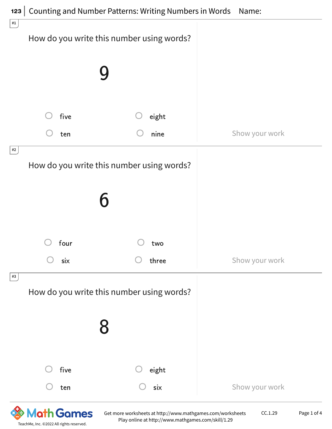| five<br>eight<br>nine<br>Show your work<br>ten<br>#2<br>How do you write this number using words?<br>four<br>two<br>Show your work<br>six<br>three | $\#1$<br>How do you write this number using words? |
|----------------------------------------------------------------------------------------------------------------------------------------------------|----------------------------------------------------|
|                                                                                                                                                    |                                                    |
|                                                                                                                                                    |                                                    |
|                                                                                                                                                    |                                                    |
|                                                                                                                                                    |                                                    |
|                                                                                                                                                    |                                                    |
|                                                                                                                                                    |                                                    |
|                                                                                                                                                    |                                                    |
| #3<br>How do you write this number using words?                                                                                                    |                                                    |
| 8                                                                                                                                                  |                                                    |
| five<br>eight                                                                                                                                      |                                                    |
| Show your work<br>six<br>ten                                                                                                                       |                                                    |

**& Math Games** TeachMe, Inc. ©2022 All rights reserved.

Get more worksheets at http://www.mathgames.com/worksheets Play online at http://www.mathgames.com/skill/1.29

CC.1.29 Page 1 of 4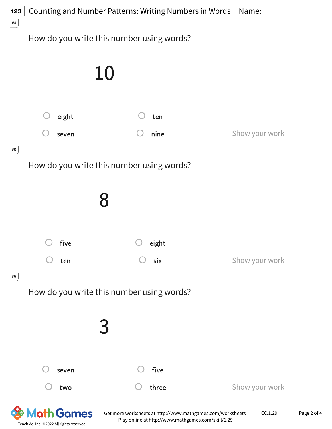| #4 |       | How do you write this number using words? |                |
|----|-------|-------------------------------------------|----------------|
|    |       | 10                                        |                |
|    | eight | ten                                       |                |
|    | seven | nine                                      | Show your work |
| #5 |       | How do you write this number using words? |                |
|    |       |                                           |                |
|    | five  | eight                                     |                |
|    | ten   | six                                       | Show your work |
| #6 |       | How do you write this number using words? |                |
|    |       |                                           |                |
|    | seven | five                                      |                |
|    | two   | three                                     | Show your work |

**&** Math Games TeachMe, Inc. ©2022 All rights reserved.

Get more worksheets at http://www.mathgames.com/worksheets Play online at http://www.mathgames.com/skill/1.29

CC.1.29 Page 2 of 4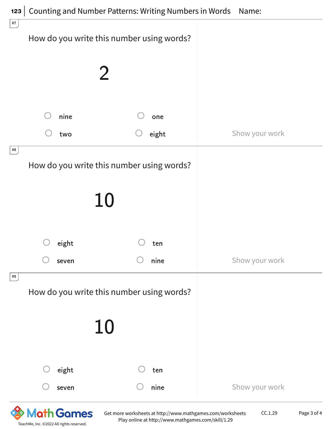| $\#7$ |       | How do you write this number using words? |                |
|-------|-------|-------------------------------------------|----------------|
|       |       |                                           |                |
|       |       |                                           |                |
|       |       |                                           |                |
|       | nine  | one                                       |                |
|       | two   | eight                                     | Show your work |
| $\#8$ |       | How do you write this number using words? |                |
|       |       | 10                                        |                |
|       | eight | ten                                       |                |
|       | seven | nine                                      | Show your work |
| #9    |       | How do you write this number using words? |                |
|       |       | 10                                        |                |
|       | eight | ten                                       |                |
|       | seven | nine                                      | Show your work |

Get more worksheets at http://www.mathgames.com/worksheets Play online at http://www.mathgames.com/skill/1.29

TeachMe, Inc. ©2022 All rights reserved.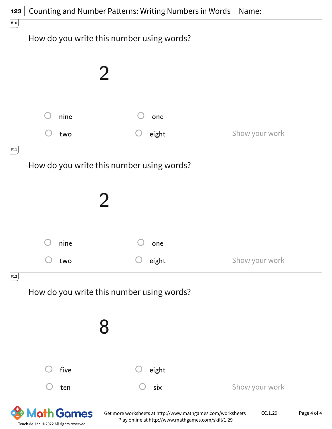| #10                                         |     |      |                                           |                |
|---------------------------------------------|-----|------|-------------------------------------------|----------------|
|                                             |     |      | How do you write this number using words? |                |
|                                             |     |      |                                           |                |
|                                             |     |      |                                           |                |
|                                             |     |      |                                           |                |
|                                             |     | nine | one                                       |                |
|                                             |     | two  | eight                                     | Show your work |
| $\vert 111 \vert$                           |     |      |                                           |                |
|                                             |     |      | How do you write this number using words? |                |
|                                             |     |      |                                           |                |
|                                             |     |      |                                           |                |
|                                             |     |      |                                           |                |
|                                             |     | nine | one                                       |                |
|                                             | two |      | eight                                     | Show your work |
| $\left  \frac{\text{#12}}{\text{}} \right $ |     |      |                                           |                |
|                                             |     |      | How do you write this number using words? |                |
|                                             |     |      |                                           |                |
|                                             |     |      |                                           |                |
|                                             |     |      |                                           |                |
|                                             |     | five | eight                                     |                |
|                                             |     | ten  | six                                       | Show your work |

TeachMe, Inc. ©2022 All rights reserved.